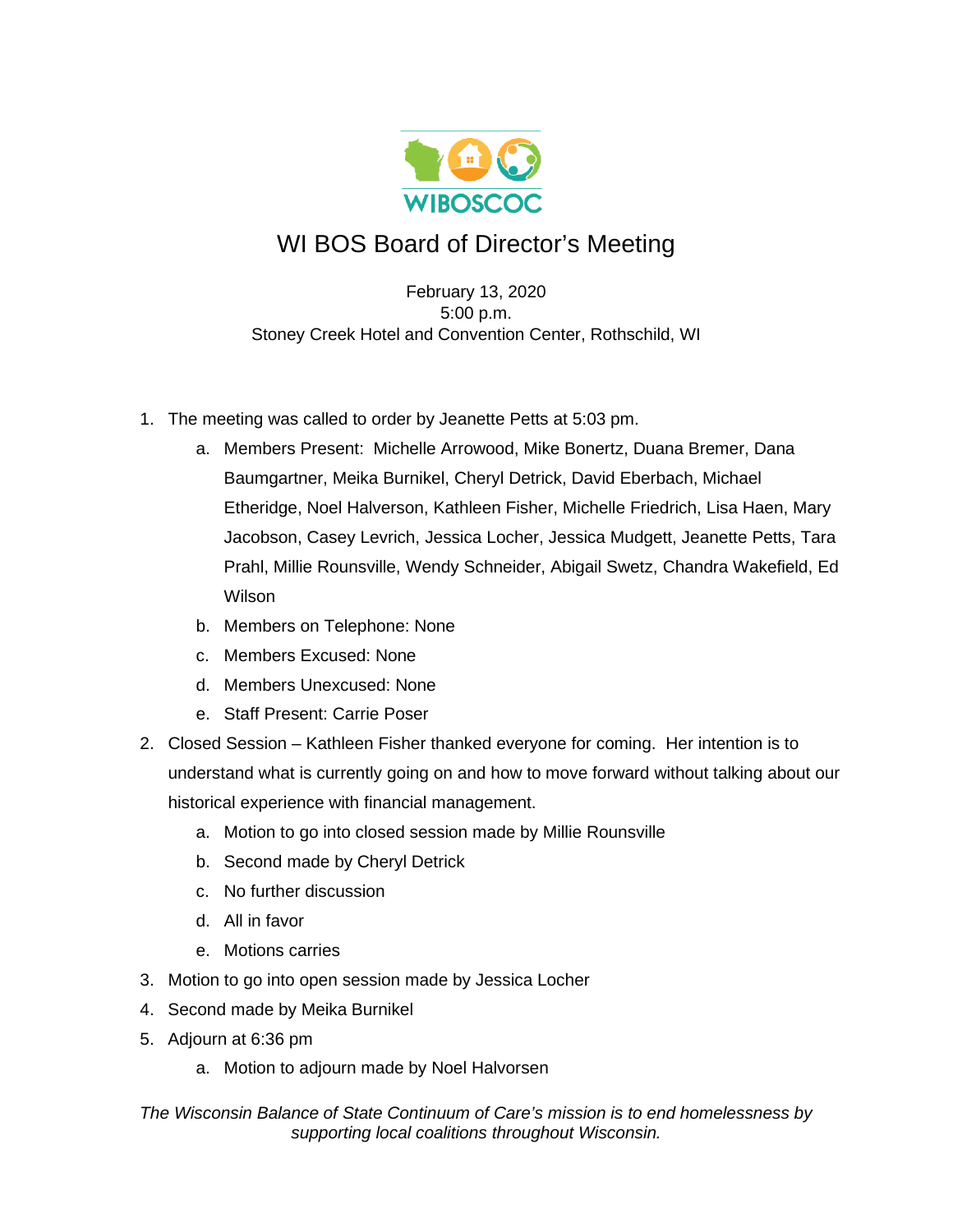

## WI BOS Board of Director's Meeting

February 13, 2020 5:00 p.m. Stoney Creek Hotel and Convention Center, Rothschild, WI

- 1. The meeting was called to order by Jeanette Petts at 5:03 pm.
	- a. Members Present: Michelle Arrowood, Mike Bonertz, Duana Bremer, Dana Baumgartner, Meika Burnikel, Cheryl Detrick, David Eberbach, Michael Etheridge, Noel Halverson, Kathleen Fisher, Michelle Friedrich, Lisa Haen, Mary Jacobson, Casey Levrich, Jessica Locher, Jessica Mudgett, Jeanette Petts, Tara Prahl, Millie Rounsville, Wendy Schneider, Abigail Swetz, Chandra Wakefield, Ed Wilson
	- b. Members on Telephone: None
	- c. Members Excused: None
	- d. Members Unexcused: None
	- e. Staff Present: Carrie Poser
- 2. Closed Session Kathleen Fisher thanked everyone for coming. Her intention is to understand what is currently going on and how to move forward without talking about our historical experience with financial management.
	- a. Motion to go into closed session made by Millie Rounsville
	- b. Second made by Cheryl Detrick
	- c. No further discussion
	- d. All in favor
	- e. Motions carries
- 3. Motion to go into open session made by Jessica Locher
- 4. Second made by Meika Burnikel
- 5. Adjourn at 6:36 pm
	- a. Motion to adjourn made by Noel Halvorsen

*The Wisconsin Balance of State Continuum of Care's mission is to end homelessness by supporting local coalitions throughout Wisconsin.*